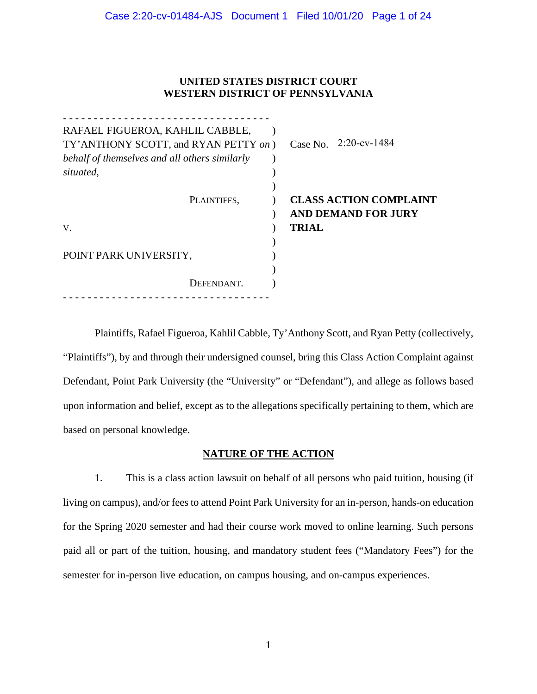# **UNITED STATES DISTRICT COURT WESTERN DISTRICT OF PENNSYLVANIA**

| RAFAEL FIGUEROA, KAHLIL CABBLE,               |             |                       |              |                               |
|-----------------------------------------------|-------------|-----------------------|--------------|-------------------------------|
| TY' ANTHONY SCOTT, and RYAN PETTY on)         |             | Case No. 2:20-cv-1484 |              |                               |
| behalf of themselves and all others similarly |             |                       |              |                               |
| situated,                                     |             |                       |              |                               |
|                                               |             |                       |              |                               |
|                                               | PLAINTIFFS, |                       |              | <b>CLASS ACTION COMPLAINT</b> |
|                                               |             |                       |              | <b>AND DEMAND FOR JURY</b>    |
| V.                                            |             |                       | <b>TRIAL</b> |                               |
|                                               |             |                       |              |                               |
| POINT PARK UNIVERSITY,                        |             |                       |              |                               |
|                                               |             |                       |              |                               |
|                                               | DEFENDANT.  |                       |              |                               |
|                                               |             |                       |              |                               |

Plaintiffs, Rafael Figueroa, Kahlil Cabble, Ty'Anthony Scott, and Ryan Petty (collectively, "Plaintiffs"), by and through their undersigned counsel, bring this Class Action Complaint against Defendant, Point Park University (the "University" or "Defendant"), and allege as follows based upon information and belief, except as to the allegations specifically pertaining to them, which are based on personal knowledge.

# **NATURE OF THE ACTION**

1. This is a class action lawsuit on behalf of all persons who paid tuition, housing (if living on campus), and/or fees to attend Point Park University for an in-person, hands-on education for the Spring 2020 semester and had their course work moved to online learning. Such persons paid all or part of the tuition, housing, and mandatory student fees ("Mandatory Fees") for the semester for in-person live education, on campus housing, and on-campus experiences.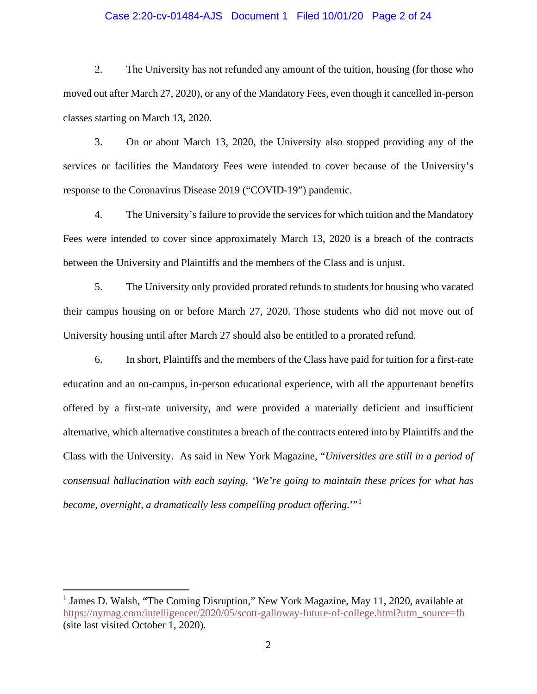### Case 2:20-cv-01484-AJS Document 1 Filed 10/01/20 Page 2 of 24

2. The University has not refunded any amount of the tuition, housing (for those who moved out after March 27, 2020), or any of the Mandatory Fees, even though it cancelled in-person classes starting on March 13, 2020.

3. On or about March 13, 2020, the University also stopped providing any of the services or facilities the Mandatory Fees were intended to cover because of the University's response to the Coronavirus Disease 2019 ("COVID-19") pandemic.

4. The University's failure to provide the services for which tuition and the Mandatory Fees were intended to cover since approximately March 13, 2020 is a breach of the contracts between the University and Plaintiffs and the members of the Class and is unjust.

5. The University only provided prorated refunds to students for housing who vacated their campus housing on or before March 27, 2020. Those students who did not move out of University housing until after March 27 should also be entitled to a prorated refund.

6. In short, Plaintiffs and the members of the Class have paid for tuition for a first-rate education and an on-campus, in-person educational experience, with all the appurtenant benefits offered by a first-rate university, and were provided a materially deficient and insufficient alternative, which alternative constitutes a breach of the contracts entered into by Plaintiffs and the Class with the University. As said in New York Magazine, "*Universities are still in a period of consensual hallucination with each saying, 'We're going to maintain these prices for what has become, overnight, a dramatically less compelling product offering.*"<sup>[1](#page-1-0)</sup>

<span id="page-1-0"></span><sup>&</sup>lt;sup>1</sup> James D. Walsh, "The Coming Disruption," New York Magazine, May 11, 2020, available at [https://nymag.com/intelligencer/2020/05/scott-galloway-future-of-college.html?utm\\_source=fb](https://nymag.com/intelligencer/2020/05/scott-galloway-future-of-college.html?utm_source=fb) (site last visited October 1, 2020).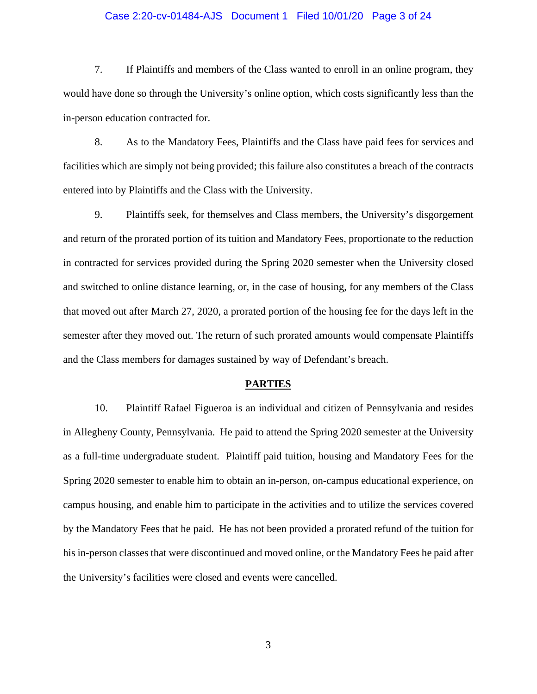### Case 2:20-cv-01484-AJS Document 1 Filed 10/01/20 Page 3 of 24

7. If Plaintiffs and members of the Class wanted to enroll in an online program, they would have done so through the University's online option, which costs significantly less than the in-person education contracted for.

8. As to the Mandatory Fees, Plaintiffs and the Class have paid fees for services and facilities which are simply not being provided; this failure also constitutes a breach of the contracts entered into by Plaintiffs and the Class with the University.

9. Plaintiffs seek, for themselves and Class members, the University's disgorgement and return of the prorated portion of its tuition and Mandatory Fees, proportionate to the reduction in contracted for services provided during the Spring 2020 semester when the University closed and switched to online distance learning, or, in the case of housing, for any members of the Class that moved out after March 27, 2020, a prorated portion of the housing fee for the days left in the semester after they moved out. The return of such prorated amounts would compensate Plaintiffs and the Class members for damages sustained by way of Defendant's breach.

#### **PARTIES**

10. Plaintiff Rafael Figueroa is an individual and citizen of Pennsylvania and resides in Allegheny County, Pennsylvania. He paid to attend the Spring 2020 semester at the University as a full-time undergraduate student. Plaintiff paid tuition, housing and Mandatory Fees for the Spring 2020 semester to enable him to obtain an in-person, on-campus educational experience, on campus housing, and enable him to participate in the activities and to utilize the services covered by the Mandatory Fees that he paid. He has not been provided a prorated refund of the tuition for his in-person classes that were discontinued and moved online, or the Mandatory Fees he paid after the University's facilities were closed and events were cancelled.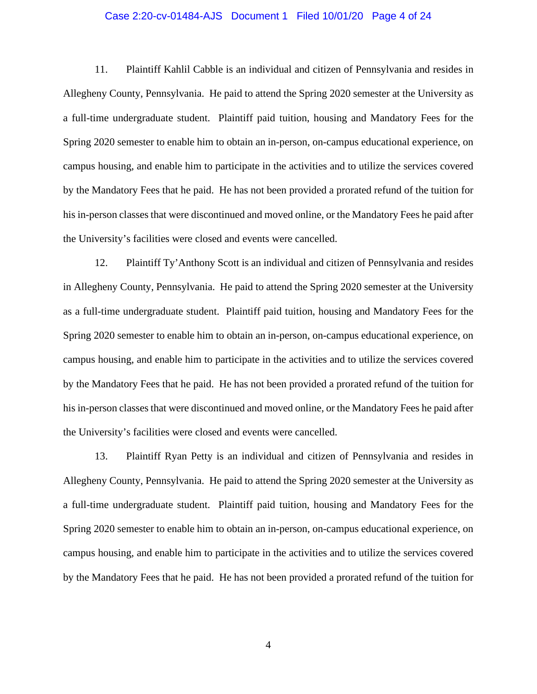#### Case 2:20-cv-01484-AJS Document 1 Filed 10/01/20 Page 4 of 24

11. Plaintiff Kahlil Cabble is an individual and citizen of Pennsylvania and resides in Allegheny County, Pennsylvania. He paid to attend the Spring 2020 semester at the University as a full-time undergraduate student. Plaintiff paid tuition, housing and Mandatory Fees for the Spring 2020 semester to enable him to obtain an in-person, on-campus educational experience, on campus housing, and enable him to participate in the activities and to utilize the services covered by the Mandatory Fees that he paid. He has not been provided a prorated refund of the tuition for his in-person classes that were discontinued and moved online, or the Mandatory Fees he paid after the University's facilities were closed and events were cancelled.

12. Plaintiff Ty'Anthony Scott is an individual and citizen of Pennsylvania and resides in Allegheny County, Pennsylvania. He paid to attend the Spring 2020 semester at the University as a full-time undergraduate student. Plaintiff paid tuition, housing and Mandatory Fees for the Spring 2020 semester to enable him to obtain an in-person, on-campus educational experience, on campus housing, and enable him to participate in the activities and to utilize the services covered by the Mandatory Fees that he paid. He has not been provided a prorated refund of the tuition for his in-person classes that were discontinued and moved online, or the Mandatory Fees he paid after the University's facilities were closed and events were cancelled.

13. Plaintiff Ryan Petty is an individual and citizen of Pennsylvania and resides in Allegheny County, Pennsylvania. He paid to attend the Spring 2020 semester at the University as a full-time undergraduate student. Plaintiff paid tuition, housing and Mandatory Fees for the Spring 2020 semester to enable him to obtain an in-person, on-campus educational experience, on campus housing, and enable him to participate in the activities and to utilize the services covered by the Mandatory Fees that he paid. He has not been provided a prorated refund of the tuition for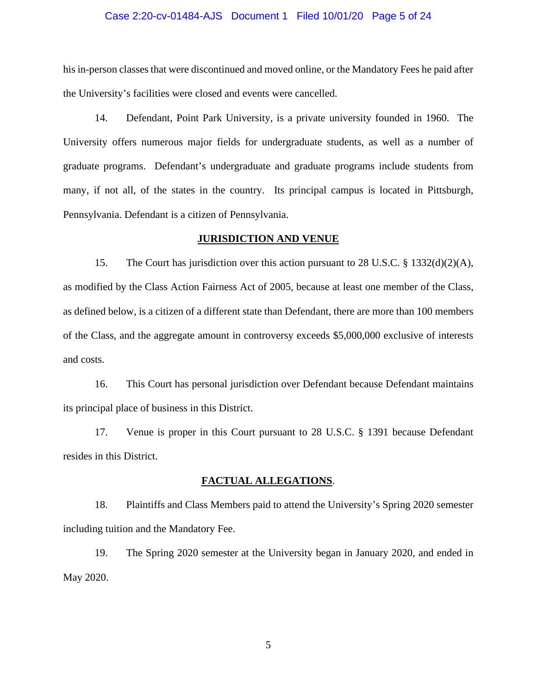#### Case 2:20-cv-01484-AJS Document 1 Filed 10/01/20 Page 5 of 24

his in-person classes that were discontinued and moved online, or the Mandatory Fees he paid after the University's facilities were closed and events were cancelled.

14. Defendant, Point Park University, is a private university founded in 1960. The University offers numerous major fields for undergraduate students, as well as a number of graduate programs. Defendant's undergraduate and graduate programs include students from many, if not all, of the states in the country. Its principal campus is located in Pittsburgh, Pennsylvania. Defendant is a citizen of Pennsylvania.

#### **JURISDICTION AND VENUE**

15. The Court has jurisdiction over this action pursuant to 28 U.S.C.  $\S$  1332(d)(2)(A), as modified by the Class Action Fairness Act of 2005, because at least one member of the Class, as defined below, is a citizen of a different state than Defendant, there are more than 100 members of the Class, and the aggregate amount in controversy exceeds \$5,000,000 exclusive of interests and costs.

16. This Court has personal jurisdiction over Defendant because Defendant maintains its principal place of business in this District.

17. Venue is proper in this Court pursuant to 28 U.S.C. § 1391 because Defendant resides in this District.

#### **FACTUAL ALLEGATIONS**.

18. Plaintiffs and Class Members paid to attend the University's Spring 2020 semester including tuition and the Mandatory Fee.

19. The Spring 2020 semester at the University began in January 2020, and ended in May 2020.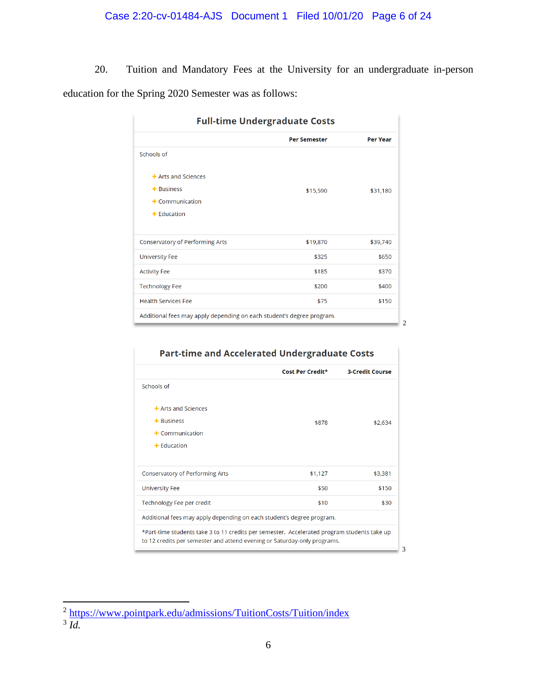# Case 2:20-cv-01484-AJS Document 1 Filed 10/01/20 Page 6 of 24

20. Tuition and Mandatory Fees at the University for an undergraduate in-person education for the Spring 2020 Semester was as follows:

| <b>Full-time Undergraduate Costs</b>                                  |                     |                 |  |  |  |
|-----------------------------------------------------------------------|---------------------|-----------------|--|--|--|
|                                                                       | <b>Per Semester</b> | <b>Per Year</b> |  |  |  |
| Schools of                                                            |                     |                 |  |  |  |
| $+$ Arts and Sciences                                                 |                     |                 |  |  |  |
| $+$ Business                                                          | \$15,590            | \$31,180        |  |  |  |
| $+$ Communication                                                     |                     |                 |  |  |  |
| $+$ Education                                                         |                     |                 |  |  |  |
|                                                                       |                     |                 |  |  |  |
| <b>Conservatory of Performing Arts</b>                                | \$19,870            | \$39,740        |  |  |  |
| <b>University Fee</b>                                                 | \$325               | \$650           |  |  |  |
| <b>Activity Fee</b>                                                   | \$185               | \$370           |  |  |  |
| <b>Technology Fee</b>                                                 | \$200               | \$400           |  |  |  |
| <b>Health Services Fee</b>                                            | \$75                | \$150           |  |  |  |
| Additional fees may apply depending on each student's degree program. |                     |                 |  |  |  |
|                                                                       |                     |                 |  |  |  |

# **Part-time and Accelerated Undergraduate Costs**

| \$878                                                                                                                                                                   | \$2,634 |  |  |  |  |
|-------------------------------------------------------------------------------------------------------------------------------------------------------------------------|---------|--|--|--|--|
|                                                                                                                                                                         |         |  |  |  |  |
|                                                                                                                                                                         |         |  |  |  |  |
|                                                                                                                                                                         |         |  |  |  |  |
|                                                                                                                                                                         |         |  |  |  |  |
|                                                                                                                                                                         |         |  |  |  |  |
|                                                                                                                                                                         |         |  |  |  |  |
| \$1,127                                                                                                                                                                 | \$3,381 |  |  |  |  |
| \$50                                                                                                                                                                    | \$150   |  |  |  |  |
| \$10                                                                                                                                                                    | \$30    |  |  |  |  |
| Additional fees may apply depending on each student's degree program.                                                                                                   |         |  |  |  |  |
| *Part-time students take 3 to 11 credits per semester. Accelerated program students take up<br>to 12 credits per semester and attend evening or Saturday-only programs. |         |  |  |  |  |
|                                                                                                                                                                         |         |  |  |  |  |

<span id="page-5-0"></span><sup>&</sup>lt;sup>2</sup> <https://www.pointpark.edu/admissions/TuitionCosts/Tuition/index>

<span id="page-5-1"></span><sup>3</sup> *Id.*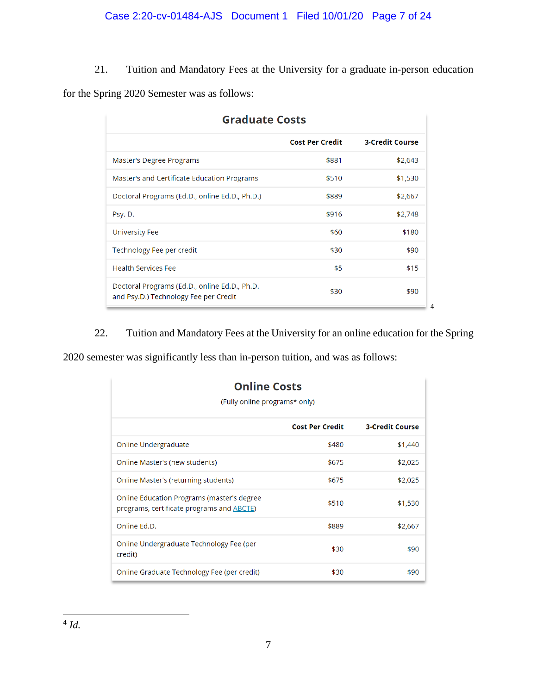21. Tuition and Mandatory Fees at the University for a graduate in-person education for the Spring 2020 Semester was as follows:

| <b>Graduate Costs</b>                                                                  |                        |                        |  |  |  |
|----------------------------------------------------------------------------------------|------------------------|------------------------|--|--|--|
|                                                                                        | <b>Cost Per Credit</b> | <b>3-Credit Course</b> |  |  |  |
| Master's Degree Programs                                                               | \$881                  | \$2,643                |  |  |  |
| Master's and Certificate Education Programs                                            | \$510                  | \$1,530                |  |  |  |
| Doctoral Programs (Ed.D., online Ed.D., Ph.D.)                                         | \$889                  | \$2,667                |  |  |  |
| Psy. D.                                                                                | \$916                  | \$2,748                |  |  |  |
| University Fee                                                                         | \$60                   | \$180                  |  |  |  |
| Technology Fee per credit                                                              | \$30                   | \$90                   |  |  |  |
| <b>Health Services Fee</b>                                                             | \$5                    | \$15                   |  |  |  |
| Doctoral Programs (Ed.D., online Ed.D., Ph.D.<br>and Psy.D.) Technology Fee per Credit | \$30                   | \$90                   |  |  |  |

22. Tuition and Mandatory Fees at the University for an online education for the Spring

2020 semester was significantly less than in-person tuition, and was as follows:

<span id="page-6-0"></span>

| <b>Online Costs</b><br>(Fully online programs* only)                                            |                        |                        |  |  |  |
|-------------------------------------------------------------------------------------------------|------------------------|------------------------|--|--|--|
|                                                                                                 | <b>Cost Per Credit</b> | <b>3-Credit Course</b> |  |  |  |
| Online Undergraduate                                                                            | \$480                  | \$1,440                |  |  |  |
| Online Master's (new students)                                                                  | \$675                  | \$2,025                |  |  |  |
| Online Master's (returning students)                                                            | \$675                  | \$2,025                |  |  |  |
| Online Education Programs (master's degree<br>programs, certificate programs and <b>ABCTE</b> ) | \$510                  | \$1,530                |  |  |  |
| Online Ed.D.                                                                                    | \$889                  | \$2,667                |  |  |  |
| Online Undergraduate Technology Fee (per<br>credit)                                             | \$30                   | \$90                   |  |  |  |
| Online Graduate Technology Fee (per credit)                                                     | \$30                   | \$90                   |  |  |  |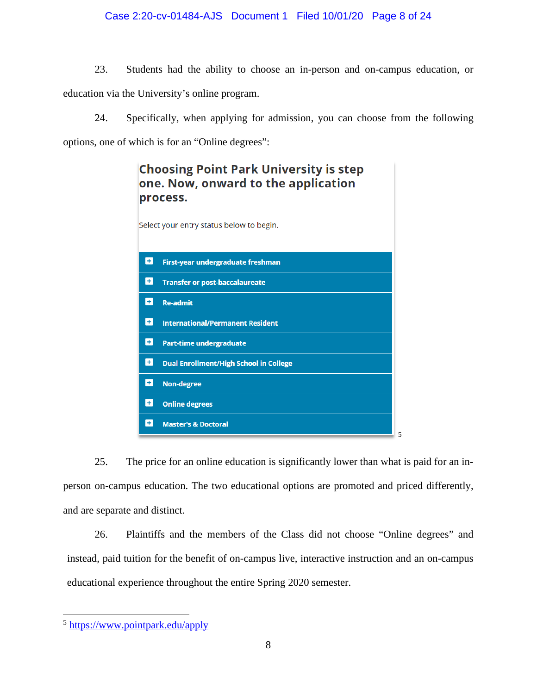# Case 2:20-cv-01484-AJS Document 1 Filed 10/01/20 Page 8 of 24

23. Students had the ability to choose an in-person and on-campus education, or education via the University's online program.

24. Specifically, when applying for admission, you can choose from the following options, one of which is for an "Online degrees":



25. The price for an online education is significantly lower than what is paid for an inperson on-campus education. The two educational options are promoted and priced differently, and are separate and distinct.

26. Plaintiffs and the members of the Class did not choose "Online degrees" and instead, paid tuition for the benefit of on-campus live, interactive instruction and an on-campus educational experience throughout the entire Spring 2020 semester.

<span id="page-7-0"></span><sup>5</sup> <https://www.pointpark.edu/apply>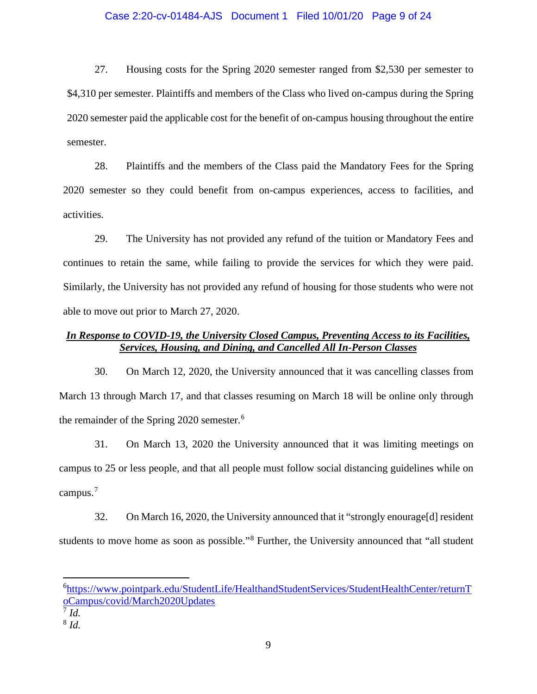### Case 2:20-cv-01484-AJS Document 1 Filed 10/01/20 Page 9 of 24

27. Housing costs for the Spring 2020 semester ranged from \$2,530 per semester to \$4,310 per semester. Plaintiffs and members of the Class who lived on-campus during the Spring 2020 semester paid the applicable cost for the benefit of on-campus housing throughout the entire semester.

28. Plaintiffs and the members of the Class paid the Mandatory Fees for the Spring 2020 semester so they could benefit from on-campus experiences, access to facilities, and activities.

29. The University has not provided any refund of the tuition or Mandatory Fees and continues to retain the same, while failing to provide the services for which they were paid. Similarly, the University has not provided any refund of housing for those students who were not able to move out prior to March 27, 2020.

# *In Response to COVID-19, the University Closed Campus, Preventing Access to its Facilities, Services, Housing, and Dining, and Cancelled All In-Person Classes*

30. On March 12, 2020, the University announced that it was cancelling classes from March 13 through March 17, and that classes resuming on March 18 will be online only through the remainder of the Spring 2020 semester. [6](#page-8-0)

31. On March 13, 2020 the University announced that it was limiting meetings on campus to 25 or less people, and that all people must follow social distancing guidelines while on campus.<sup>[7](#page-8-1)</sup>

32. On March 16, 2020, the University announced that it "strongly enourage[d] resident students to move home as soon as possible."[8](#page-8-2) Further, the University announced that "all student

<span id="page-8-0"></span><sup>6</sup> [https://www.pointpark.edu/StudentLife/HealthandStudentServices/StudentHealthCenter/returnT](https://www.pointpark.edu/StudentLife/HealthandStudentServices/StudentHealthCenter/returnToCampus/covid/March2020Updates) [oCampus/covid/March2020Updates](https://www.pointpark.edu/StudentLife/HealthandStudentServices/StudentHealthCenter/returnToCampus/covid/March2020Updates)

<span id="page-8-1"></span> $^7$  *Id.* 

<span id="page-8-2"></span><sup>8</sup> *Id.*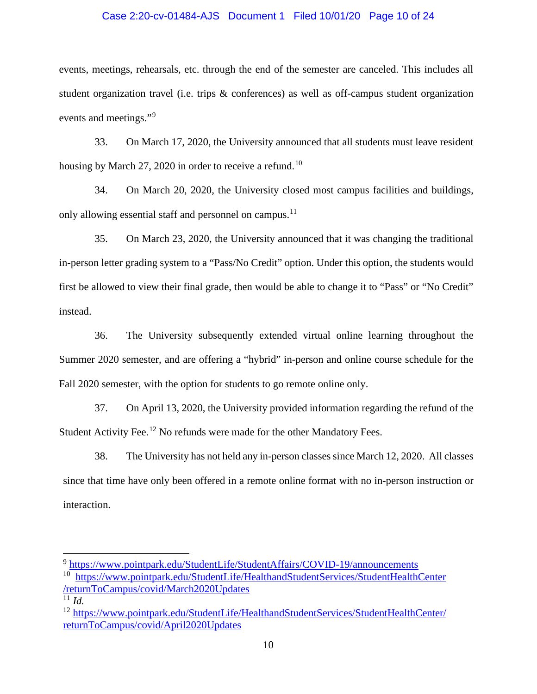# Case 2:20-cv-01484-AJS Document 1 Filed 10/01/20 Page 10 of 24

events, meetings, rehearsals, etc. through the end of the semester are canceled. This includes all student organization travel (i.e. trips & conferences) as well as off-campus student organization events and meetings."<sup>[9](#page-9-0)</sup>

33. On March 17, 2020, the University announced that all students must leave resident housing by March 27, 2020 in order to receive a refund.<sup>[10](#page-9-1)</sup>

34. On March 20, 2020, the University closed most campus facilities and buildings, only allowing essential staff and personnel on campus.<sup>[11](#page-9-2)</sup>

35. On March 23, 2020, the University announced that it was changing the traditional in-person letter grading system to a "Pass/No Credit" option. Under this option, the students would first be allowed to view their final grade, then would be able to change it to "Pass" or "No Credit" instead.

36. The University subsequently extended virtual online learning throughout the Summer 2020 semester, and are offering a "hybrid" in-person and online course schedule for the Fall 2020 semester, with the option for students to go remote online only.

37. On April 13, 2020, the University provided information regarding the refund of the Student Activity Fee.<sup>[12](#page-9-3)</sup> No refunds were made for the other Mandatory Fees.

38. The University has not held any in-person classes since March 12, 2020. All classes since that time have only been offered in a remote online format with no in-person instruction or interaction.

<span id="page-9-0"></span><sup>9</sup> <https://www.pointpark.edu/StudentLife/StudentAffairs/COVID-19/announcements>

<span id="page-9-1"></span><sup>&</sup>lt;sup>10</sup> [https://www.pointpark.edu/StudentLife/HealthandStudentServices/StudentHealthCenter](https://www.pointpark.edu/StudentLife/HealthandStudentServices/StudentHealthCenter/returnToCampus/covid/March2020Updates) [/returnToCampus/covid/March2020Updates](https://www.pointpark.edu/StudentLife/HealthandStudentServices/StudentHealthCenter/returnToCampus/covid/March2020Updates)

<span id="page-9-2"></span> $11$  *Id.* 

<span id="page-9-3"></span><sup>12</sup> [https://www.pointpark.edu/StudentLife/HealthandStudentServices/StudentHealthCenter/](https://www.pointpark.edu/StudentLife/HealthandStudentServices/StudentHealthCenter/returnToCampus/covid/April2020Updates) [returnToCampus/covid/April2020Updates](https://www.pointpark.edu/StudentLife/HealthandStudentServices/StudentHealthCenter/returnToCampus/covid/April2020Updates)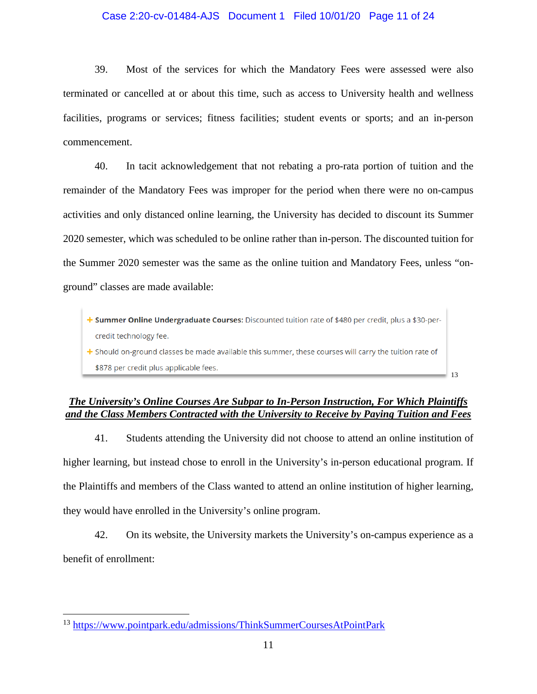## Case 2:20-cv-01484-AJS Document 1 Filed 10/01/20 Page 11 of 24

39. Most of the services for which the Mandatory Fees were assessed were also terminated or cancelled at or about this time, such as access to University health and wellness facilities, programs or services; fitness facilities; student events or sports; and an in-person commencement.

40. In tacit acknowledgement that not rebating a pro-rata portion of tuition and the remainder of the Mandatory Fees was improper for the period when there were no on-campus activities and only distanced online learning, the University has decided to discount its Summer 2020 semester, which was scheduled to be online rather than in-person. The discounted tuition for the Summer 2020 semester was the same as the online tuition and Mandatory Fees, unless "onground" classes are made available:

+ Summer Online Undergraduate Courses: Discounted tuition rate of \$480 per credit, plus a \$30-percredit technology fee. + Should on-ground classes be made available this summer, these courses will carry the tuition rate of \$878 per credit plus applicable fees. [13](#page-10-0)

# *The University's Online Courses Are Subpar to In-Person Instruction, For Which Plaintiffs and the Class Members Contracted with the University to Receive by Paying Tuition and Fees*

41. Students attending the University did not choose to attend an online institution of higher learning, but instead chose to enroll in the University's in-person educational program. If the Plaintiffs and members of the Class wanted to attend an online institution of higher learning, they would have enrolled in the University's online program.

42. On its website, the University markets the University's on-campus experience as a benefit of enrollment:

<span id="page-10-0"></span><sup>13</sup> <https://www.pointpark.edu/admissions/ThinkSummerCoursesAtPointPark>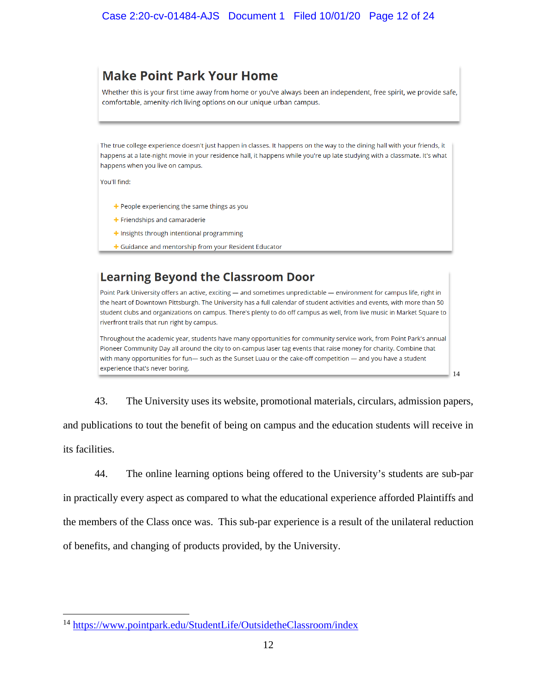# **Make Point Park Your Home**

Whether this is your first time away from home or you've always been an independent, free spirit, we provide safe, comfortable, amenity-rich living options on our unique urban campus.

The true college experience doesn't just happen in classes. It happens on the way to the dining hall with your friends, it happens at a late-night movie in your residence hall, it happens while you're up late studying with a classmate. It's what happens when you live on campus.

You'll find:

- + People experiencing the same things as you
- + Friendships and camaraderie
- + Insights through intentional programming
- + Guidance and mentorship from your Resident Educator

# **Learning Beyond the Classroom Door**

Point Park University offers an active, exciting - and sometimes unpredictable - environment for campus life, right in the heart of Downtown Pittsburgh. The University has a full calendar of student activities and events, with more than 50 student clubs and organizations on campus. There's plenty to do off campus as well, from live music in Market Square to riverfront trails that run right by campus.

Throughout the academic year, students have many opportunities for community service work, from Point Park's annual Pioneer Community Day all around the city to on-campus laser tag events that raise money for charity. Combine that with many opportunities for fun— such as the Sunset Luau or the cake-off competition — and you have a student experience that's never boring.

43. The University uses its website, promotional materials, circulars, admission papers,

[14](#page-11-0)

and publications to tout the benefit of being on campus and the education students will receive in its facilities.

44. The online learning options being offered to the University's students are sub-par in practically every aspect as compared to what the educational experience afforded Plaintiffs and the members of the Class once was. This sub-par experience is a result of the unilateral reduction of benefits, and changing of products provided, by the University.

<span id="page-11-0"></span><sup>14</sup> <https://www.pointpark.edu/StudentLife/OutsidetheClassroom/index>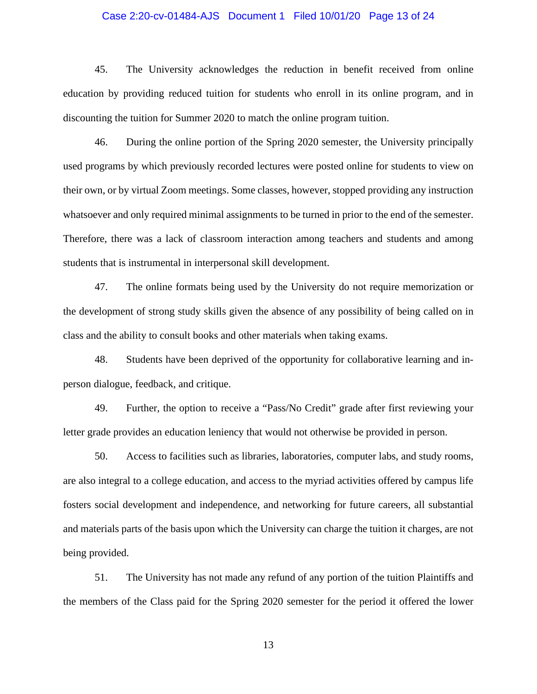### Case 2:20-cv-01484-AJS Document 1 Filed 10/01/20 Page 13 of 24

45. The University acknowledges the reduction in benefit received from online education by providing reduced tuition for students who enroll in its online program, and in discounting the tuition for Summer 2020 to match the online program tuition.

46. During the online portion of the Spring 2020 semester, the University principally used programs by which previously recorded lectures were posted online for students to view on their own, or by virtual Zoom meetings. Some classes, however, stopped providing any instruction whatsoever and only required minimal assignments to be turned in prior to the end of the semester. Therefore, there was a lack of classroom interaction among teachers and students and among students that is instrumental in interpersonal skill development.

47. The online formats being used by the University do not require memorization or the development of strong study skills given the absence of any possibility of being called on in class and the ability to consult books and other materials when taking exams.

48. Students have been deprived of the opportunity for collaborative learning and inperson dialogue, feedback, and critique.

49. Further, the option to receive a "Pass/No Credit" grade after first reviewing your letter grade provides an education leniency that would not otherwise be provided in person.

50. Access to facilities such as libraries, laboratories, computer labs, and study rooms, are also integral to a college education, and access to the myriad activities offered by campus life fosters social development and independence, and networking for future careers, all substantial and materials parts of the basis upon which the University can charge the tuition it charges, are not being provided.

51. The University has not made any refund of any portion of the tuition Plaintiffs and the members of the Class paid for the Spring 2020 semester for the period it offered the lower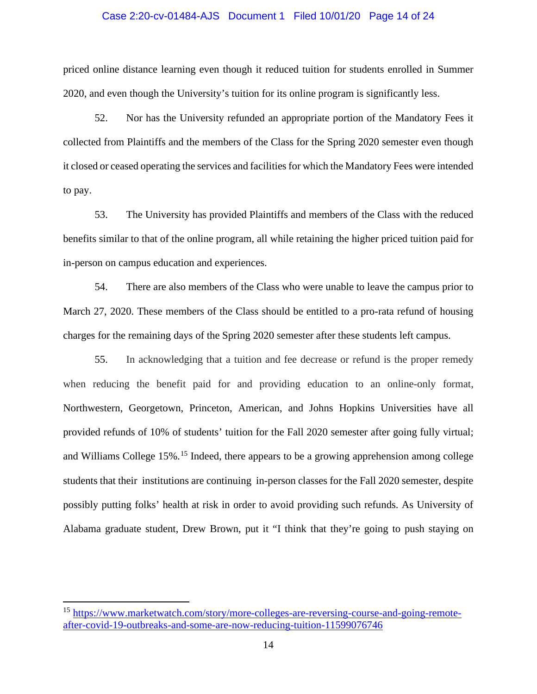#### Case 2:20-cv-01484-AJS Document 1 Filed 10/01/20 Page 14 of 24

priced online distance learning even though it reduced tuition for students enrolled in Summer 2020, and even though the University's tuition for its online program is significantly less.

52. Nor has the University refunded an appropriate portion of the Mandatory Fees it collected from Plaintiffs and the members of the Class for the Spring 2020 semester even though it closed or ceased operating the services and facilities for which the Mandatory Fees were intended to pay.

53. The University has provided Plaintiffs and members of the Class with the reduced benefits similar to that of the online program, all while retaining the higher priced tuition paid for in-person on campus education and experiences.

54. There are also members of the Class who were unable to leave the campus prior to March 27, 2020. These members of the Class should be entitled to a pro-rata refund of housing charges for the remaining days of the Spring 2020 semester after these students left campus.

55. In acknowledging that a tuition and fee decrease or refund is the proper remedy when reducing the benefit paid for and providing education to an online-only format, Northwestern, Georgetown, Princeton, American, and Johns Hopkins Universities have all provided refunds of 10% of students' tuition for the Fall 2020 semester after going fully virtual; and Williams College [15](#page-13-0)%.<sup>15</sup> Indeed, there appears to be a growing apprehension among college students that their institutions are continuing in-person classes for the Fall 2020 semester, despite possibly putting folks' health at risk in order to avoid providing such refunds. As University of Alabama graduate student, Drew Brown, put it "I think that they're going to push staying on

<span id="page-13-0"></span><sup>15</sup> [https://www.marketwatch.com/story/more-colleges-are-reversing-course-and-going-remote](https://www.marketwatch.com/story/more-colleges-are-reversing-course-and-going-remote-after-covid-19-outbreaks-and-some-are-now-reducing-tuition-11599076746)[after-covid-19-outbreaks-and-some-are-now-reducing-tuition-11599076746](https://www.marketwatch.com/story/more-colleges-are-reversing-course-and-going-remote-after-covid-19-outbreaks-and-some-are-now-reducing-tuition-11599076746)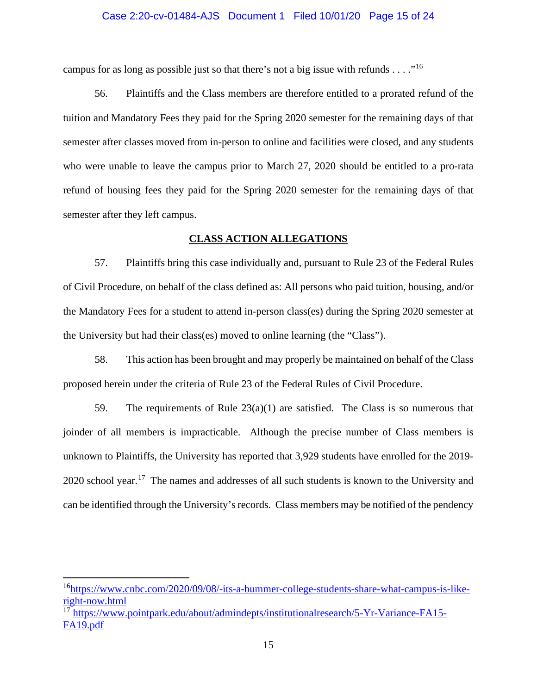### Case 2:20-cv-01484-AJS Document 1 Filed 10/01/20 Page 15 of 24

campus for as long as possible just so that there's not a big issue with refunds  $\dots$ ."<sup>[16](#page-14-0)</sup>

56. Plaintiffs and the Class members are therefore entitled to a prorated refund of the tuition and Mandatory Fees they paid for the Spring 2020 semester for the remaining days of that semester after classes moved from in-person to online and facilities were closed, and any students who were unable to leave the campus prior to March 27, 2020 should be entitled to a pro-rata refund of housing fees they paid for the Spring 2020 semester for the remaining days of that semester after they left campus.

## **CLASS ACTION ALLEGATIONS**

57. Plaintiffs bring this case individually and, pursuant to Rule 23 of the Federal Rules of Civil Procedure, on behalf of the class defined as: All persons who paid tuition, housing, and/or the Mandatory Fees for a student to attend in-person class(es) during the Spring 2020 semester at the University but had their class(es) moved to online learning (the "Class").

58. This action has been brought and may properly be maintained on behalf of the Class proposed herein under the criteria of Rule 23 of the Federal Rules of Civil Procedure.

59. The requirements of Rule 23(a)(1) are satisfied. The Class is so numerous that joinder of all members is impracticable. Although the precise number of Class members is unknown to Plaintiffs, the University has reported that 3,929 students have enrolled for the 2019-  $2020$  school year.<sup>17</sup> The names and addresses of all such students is known to the University and can be identified through the University's records. Class members may be notified of the pendency

<span id="page-14-0"></span><sup>&</sup>lt;sup>16</sup>https://www.cnbc.com/2020/09/08/-its-a-bummer-college-students-share-what-campus-is-like[right-now.html](https://www.cnbc.com/2020/09/08/-its-a-bummer-college-students-share-what-campus-is-like-right-now.html)

<span id="page-14-1"></span><sup>17</sup> [https://www.pointpark.edu/about/admindepts/institutionalresearch/5-Yr-Variance-FA15-](https://www.pointpark.edu/about/admindepts/institutionalresearch/5-Yr-Variance-FA15-FA19.pdf) [FA19.pdf](https://www.pointpark.edu/about/admindepts/institutionalresearch/5-Yr-Variance-FA15-FA19.pdf)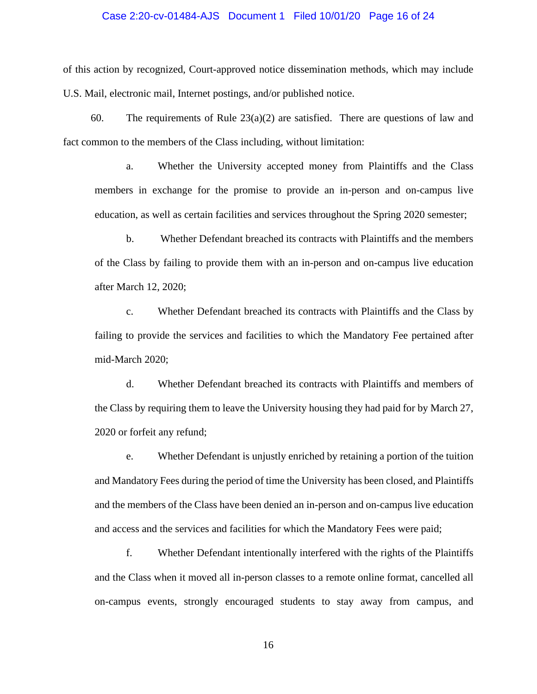### Case 2:20-cv-01484-AJS Document 1 Filed 10/01/20 Page 16 of 24

of this action by recognized, Court-approved notice dissemination methods, which may include U.S. Mail, electronic mail, Internet postings, and/or published notice.

60. The requirements of Rule  $23(a)(2)$  are satisfied. There are questions of law and fact common to the members of the Class including, without limitation:

a. Whether the University accepted money from Plaintiffs and the Class members in exchange for the promise to provide an in-person and on-campus live education, as well as certain facilities and services throughout the Spring 2020 semester;

b. Whether Defendant breached its contracts with Plaintiffs and the members of the Class by failing to provide them with an in-person and on-campus live education after March 12, 2020;

c. Whether Defendant breached its contracts with Plaintiffs and the Class by failing to provide the services and facilities to which the Mandatory Fee pertained after mid-March 2020;

d. Whether Defendant breached its contracts with Plaintiffs and members of the Class by requiring them to leave the University housing they had paid for by March 27, 2020 or forfeit any refund;

e. Whether Defendant is unjustly enriched by retaining a portion of the tuition and Mandatory Fees during the period of time the University has been closed, and Plaintiffs and the members of the Class have been denied an in-person and on-campus live education and access and the services and facilities for which the Mandatory Fees were paid;

f. Whether Defendant intentionally interfered with the rights of the Plaintiffs and the Class when it moved all in-person classes to a remote online format, cancelled all on-campus events, strongly encouraged students to stay away from campus, and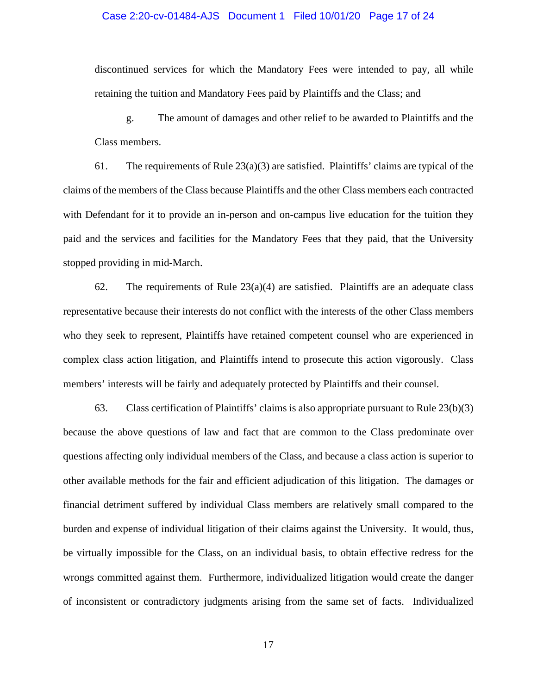### Case 2:20-cv-01484-AJS Document 1 Filed 10/01/20 Page 17 of 24

discontinued services for which the Mandatory Fees were intended to pay, all while retaining the tuition and Mandatory Fees paid by Plaintiffs and the Class; and

g. The amount of damages and other relief to be awarded to Plaintiffs and the Class members.

61. The requirements of Rule  $23(a)(3)$  are satisfied. Plaintiffs' claims are typical of the claims of the members of the Class because Plaintiffs and the other Class members each contracted with Defendant for it to provide an in-person and on-campus live education for the tuition they paid and the services and facilities for the Mandatory Fees that they paid, that the University stopped providing in mid-March.

62. The requirements of Rule  $23(a)(4)$  are satisfied. Plaintiffs are an adequate class representative because their interests do not conflict with the interests of the other Class members who they seek to represent, Plaintiffs have retained competent counsel who are experienced in complex class action litigation, and Plaintiffs intend to prosecute this action vigorously. Class members' interests will be fairly and adequately protected by Plaintiffs and their counsel.

63. Class certification of Plaintiffs' claims is also appropriate pursuant to Rule 23(b)(3) because the above questions of law and fact that are common to the Class predominate over questions affecting only individual members of the Class, and because a class action is superior to other available methods for the fair and efficient adjudication of this litigation. The damages or financial detriment suffered by individual Class members are relatively small compared to the burden and expense of individual litigation of their claims against the University. It would, thus, be virtually impossible for the Class, on an individual basis, to obtain effective redress for the wrongs committed against them. Furthermore, individualized litigation would create the danger of inconsistent or contradictory judgments arising from the same set of facts. Individualized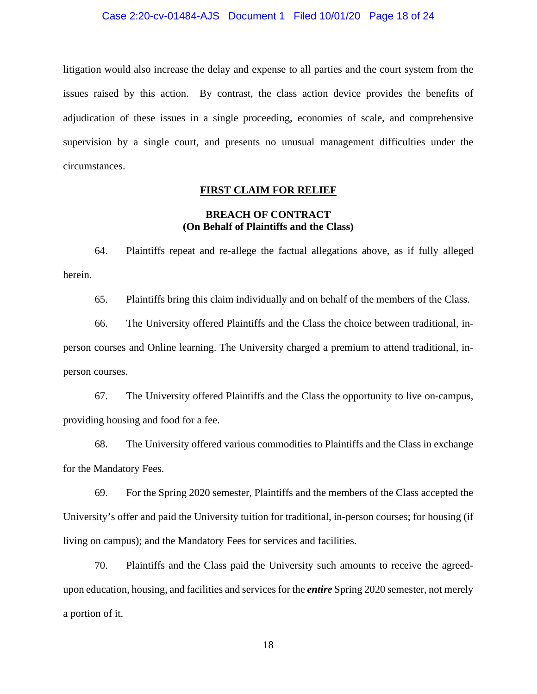#### Case 2:20-cv-01484-AJS Document 1 Filed 10/01/20 Page 18 of 24

litigation would also increase the delay and expense to all parties and the court system from the issues raised by this action. By contrast, the class action device provides the benefits of adjudication of these issues in a single proceeding, economies of scale, and comprehensive supervision by a single court, and presents no unusual management difficulties under the circumstances.

### **FIRST CLAIM FOR RELIEF**

## **BREACH OF CONTRACT (On Behalf of Plaintiffs and the Class)**

64. Plaintiffs repeat and re-allege the factual allegations above, as if fully alleged herein.

65. Plaintiffs bring this claim individually and on behalf of the members of the Class.

66. The University offered Plaintiffs and the Class the choice between traditional, inperson courses and Online learning. The University charged a premium to attend traditional, inperson courses.

67. The University offered Plaintiffs and the Class the opportunity to live on-campus, providing housing and food for a fee.

68. The University offered various commodities to Plaintiffs and the Class in exchange for the Mandatory Fees.

69. For the Spring 2020 semester, Plaintiffs and the members of the Class accepted the University's offer and paid the University tuition for traditional, in-person courses; for housing (if living on campus); and the Mandatory Fees for services and facilities.

70. Plaintiffs and the Class paid the University such amounts to receive the agreedupon education, housing, and facilities and services for the *entire* Spring 2020 semester, not merely a portion of it.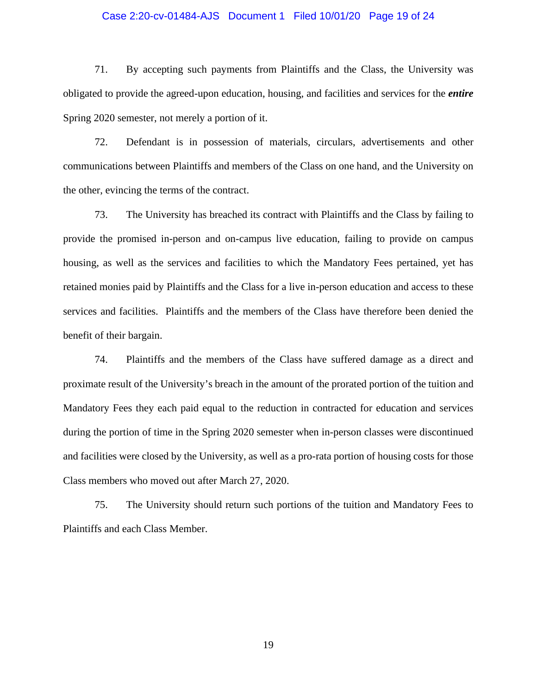### Case 2:20-cv-01484-AJS Document 1 Filed 10/01/20 Page 19 of 24

71. By accepting such payments from Plaintiffs and the Class, the University was obligated to provide the agreed-upon education, housing, and facilities and services for the *entire* Spring 2020 semester, not merely a portion of it.

72. Defendant is in possession of materials, circulars, advertisements and other communications between Plaintiffs and members of the Class on one hand, and the University on the other, evincing the terms of the contract.

73. The University has breached its contract with Plaintiffs and the Class by failing to provide the promised in-person and on-campus live education, failing to provide on campus housing, as well as the services and facilities to which the Mandatory Fees pertained, yet has retained monies paid by Plaintiffs and the Class for a live in-person education and access to these services and facilities. Plaintiffs and the members of the Class have therefore been denied the benefit of their bargain.

74. Plaintiffs and the members of the Class have suffered damage as a direct and proximate result of the University's breach in the amount of the prorated portion of the tuition and Mandatory Fees they each paid equal to the reduction in contracted for education and services during the portion of time in the Spring 2020 semester when in-person classes were discontinued and facilities were closed by the University, as well as a pro-rata portion of housing costs for those Class members who moved out after March 27, 2020.

75. The University should return such portions of the tuition and Mandatory Fees to Plaintiffs and each Class Member.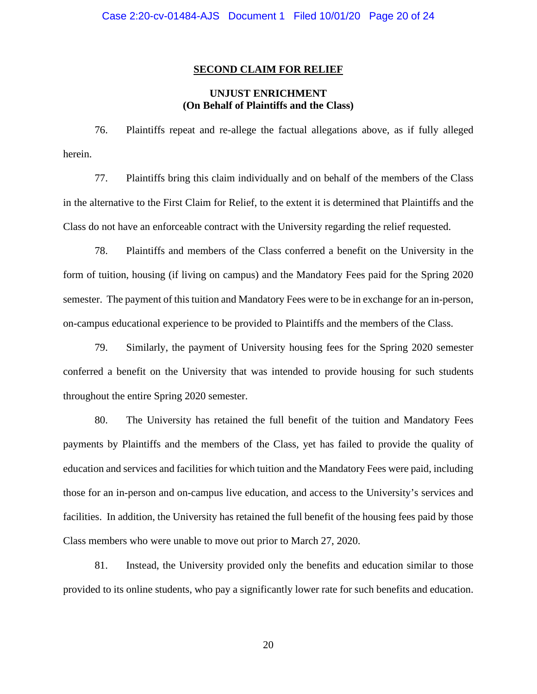#### **SECOND CLAIM FOR RELIEF**

# **UNJUST ENRICHMENT (On Behalf of Plaintiffs and the Class)**

76. Plaintiffs repeat and re-allege the factual allegations above, as if fully alleged herein.

77. Plaintiffs bring this claim individually and on behalf of the members of the Class in the alternative to the First Claim for Relief, to the extent it is determined that Plaintiffs and the Class do not have an enforceable contract with the University regarding the relief requested.

78. Plaintiffs and members of the Class conferred a benefit on the University in the form of tuition, housing (if living on campus) and the Mandatory Fees paid for the Spring 2020 semester. The payment of this tuition and Mandatory Fees were to be in exchange for an in-person, on-campus educational experience to be provided to Plaintiffs and the members of the Class.

79. Similarly, the payment of University housing fees for the Spring 2020 semester conferred a benefit on the University that was intended to provide housing for such students throughout the entire Spring 2020 semester.

80. The University has retained the full benefit of the tuition and Mandatory Fees payments by Plaintiffs and the members of the Class, yet has failed to provide the quality of education and services and facilities for which tuition and the Mandatory Fees were paid, including those for an in-person and on-campus live education, and access to the University's services and facilities. In addition, the University has retained the full benefit of the housing fees paid by those Class members who were unable to move out prior to March 27, 2020.

81. Instead, the University provided only the benefits and education similar to those provided to its online students, who pay a significantly lower rate for such benefits and education.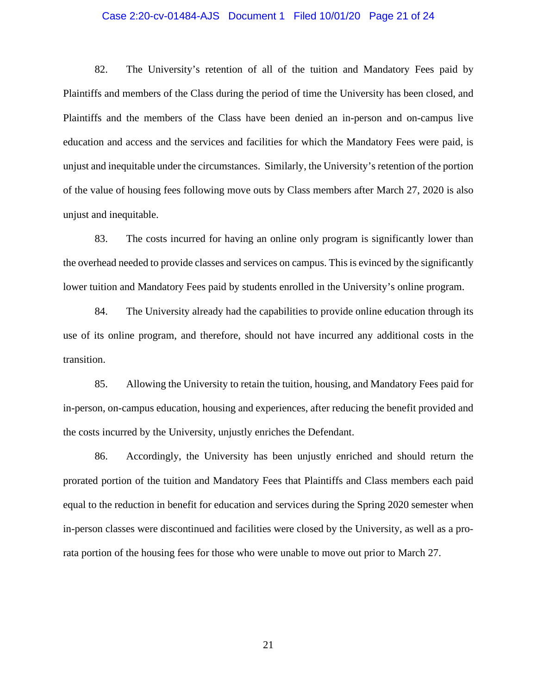### Case 2:20-cv-01484-AJS Document 1 Filed 10/01/20 Page 21 of 24

82. The University's retention of all of the tuition and Mandatory Fees paid by Plaintiffs and members of the Class during the period of time the University has been closed, and Plaintiffs and the members of the Class have been denied an in-person and on-campus live education and access and the services and facilities for which the Mandatory Fees were paid, is unjust and inequitable under the circumstances. Similarly, the University's retention of the portion of the value of housing fees following move outs by Class members after March 27, 2020 is also unjust and inequitable.

83. The costs incurred for having an online only program is significantly lower than the overhead needed to provide classes and services on campus. This is evinced by the significantly lower tuition and Mandatory Fees paid by students enrolled in the University's online program.

84. The University already had the capabilities to provide online education through its use of its online program, and therefore, should not have incurred any additional costs in the transition.

85. Allowing the University to retain the tuition, housing, and Mandatory Fees paid for in-person, on-campus education, housing and experiences, after reducing the benefit provided and the costs incurred by the University, unjustly enriches the Defendant.

86. Accordingly, the University has been unjustly enriched and should return the prorated portion of the tuition and Mandatory Fees that Plaintiffs and Class members each paid equal to the reduction in benefit for education and services during the Spring 2020 semester when in-person classes were discontinued and facilities were closed by the University, as well as a prorata portion of the housing fees for those who were unable to move out prior to March 27.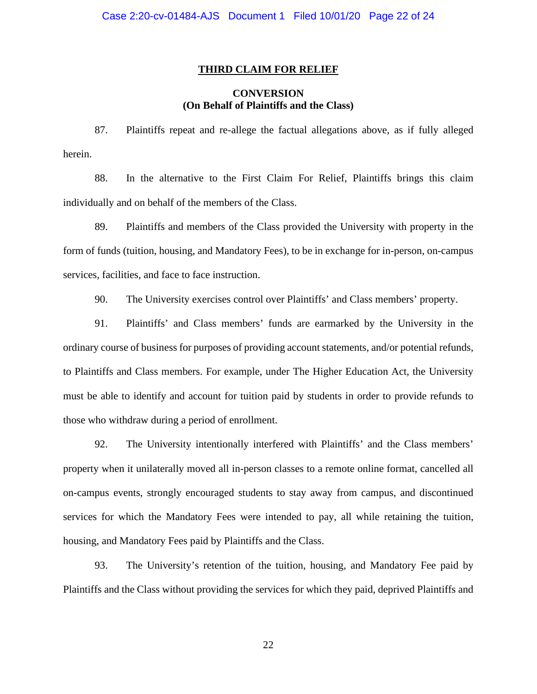#### **THIRD CLAIM FOR RELIEF**

# **CONVERSION (On Behalf of Plaintiffs and the Class)**

87. Plaintiffs repeat and re-allege the factual allegations above, as if fully alleged herein.

88. In the alternative to the First Claim For Relief, Plaintiffs brings this claim individually and on behalf of the members of the Class.

89. Plaintiffs and members of the Class provided the University with property in the form of funds (tuition, housing, and Mandatory Fees), to be in exchange for in-person, on-campus services, facilities, and face to face instruction.

90. The University exercises control over Plaintiffs' and Class members' property.

91. Plaintiffs' and Class members' funds are earmarked by the University in the ordinary course of business for purposes of providing account statements, and/or potential refunds, to Plaintiffs and Class members. For example, under The Higher Education Act, the University must be able to identify and account for tuition paid by students in order to provide refunds to those who withdraw during a period of enrollment.

92. The University intentionally interfered with Plaintiffs' and the Class members' property when it unilaterally moved all in-person classes to a remote online format, cancelled all on-campus events, strongly encouraged students to stay away from campus, and discontinued services for which the Mandatory Fees were intended to pay, all while retaining the tuition, housing, and Mandatory Fees paid by Plaintiffs and the Class.

93. The University's retention of the tuition, housing, and Mandatory Fee paid by Plaintiffs and the Class without providing the services for which they paid, deprived Plaintiffs and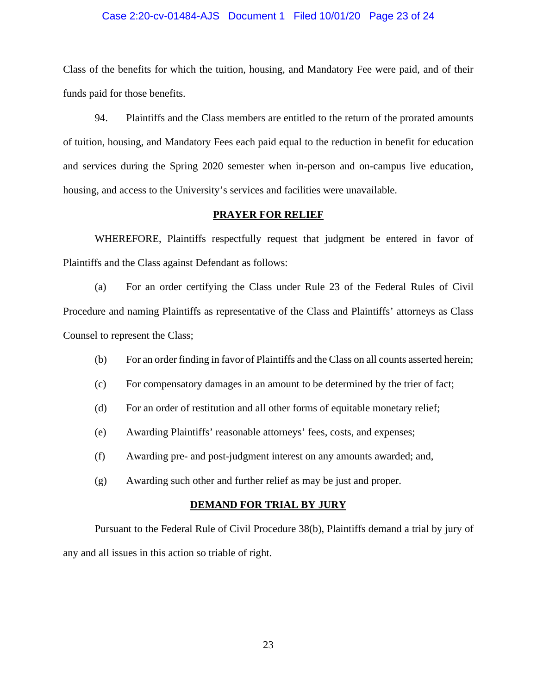#### Case 2:20-cv-01484-AJS Document 1 Filed 10/01/20 Page 23 of 24

Class of the benefits for which the tuition, housing, and Mandatory Fee were paid, and of their funds paid for those benefits.

94. Plaintiffs and the Class members are entitled to the return of the prorated amounts of tuition, housing, and Mandatory Fees each paid equal to the reduction in benefit for education and services during the Spring 2020 semester when in-person and on-campus live education, housing, and access to the University's services and facilities were unavailable.

### **PRAYER FOR RELIEF**

WHEREFORE, Plaintiffs respectfully request that judgment be entered in favor of Plaintiffs and the Class against Defendant as follows:

(a) For an order certifying the Class under Rule 23 of the Federal Rules of Civil Procedure and naming Plaintiffs as representative of the Class and Plaintiffs' attorneys as Class Counsel to represent the Class;

- (b) For an order finding in favor of Plaintiffs and the Class on all counts asserted herein;
- (c) For compensatory damages in an amount to be determined by the trier of fact;
- (d) For an order of restitution and all other forms of equitable monetary relief;
- (e) Awarding Plaintiffs' reasonable attorneys' fees, costs, and expenses;
- (f) Awarding pre- and post-judgment interest on any amounts awarded; and,
- (g) Awarding such other and further relief as may be just and proper.

#### **DEMAND FOR TRIAL BY JURY**

Pursuant to the Federal Rule of Civil Procedure 38(b), Plaintiffs demand a trial by jury of any and all issues in this action so triable of right.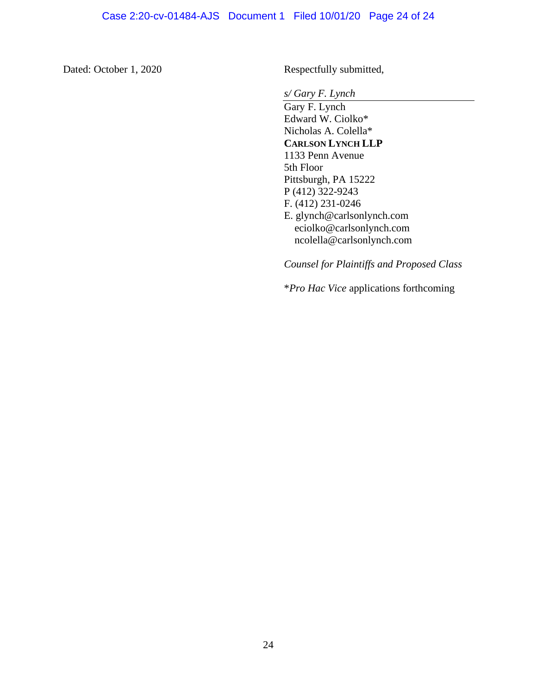Dated: October 1, 2020 Respectfully submitted,

*s/ Gary F. Lynch*

Gary F. Lynch Edward W. Ciolko\* Nicholas A. Colella\* **CARLSON LYNCH LLP** 1133 Penn Avenue 5th Floor Pittsburgh, PA 15222 P (412) 322-9243 F. (412) 231-0246 E. glynch@carlsonlynch.com [eciolko@carlsonlynch.com](mailto:eciolko@carlsonlynch.com) ncolella@carlsonlynch.com

*Counsel for Plaintiffs and Proposed Class*

\**Pro Hac Vice* applications forthcoming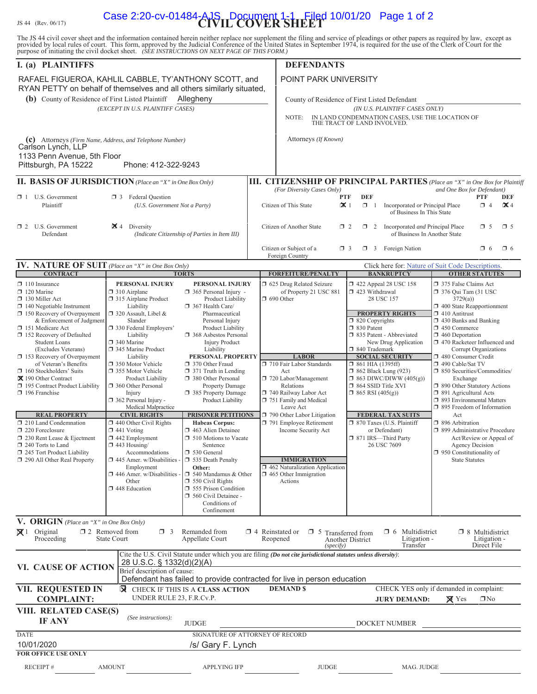JS 44 (Rev. 06/17) **CIVIL COVER SHEET** Case 2:20-cv-01484-AJS Document 1-1 Filed 10/01/20 Page 1 of 2The JS 44 civil cover sheet and the information contained herein neither replace nor supplement the filing and service of pleadings or other papers as required by law, except as provided by local rules of court. This form, purpose of initiating the civil docket sheet. *(SEE INSTRUCTIONS ON NEXT PAGE OF THIS FORM.)* **I. (a) PLAINTIFFS** DEFENDANTS **(b)** County of Residence of First Listed Plaintiff Allegheny County of Residence of First Listed Defendant *(EXCEPT IN U.S. PLAINTIFF CASES) (IN U.S. PLAINTIFF CASES ONLY)* NOTE: IN LAND CONDEMNATION CASES, USE THE LOCATION OF THE TRACT OF LAND INVOLVED. **(c)** Attorneys *(Firm Name, Address, and Telephone Number)* Attorneys *(If Known)* **III. CITIZENSHIP OF PRINCIPAL PARTIES** (Place an "X" in One Box for Plaintiff<sup></sup><br>*(For Diversity Cases Only)* and One Box for Defendant) *(For Diversity Cases One Box for Defendant)* **PTF DEF 1** U.S. Government **D** 3 Federal Question Plaintiff *(U.S. Government Not a Party*) Citizen of This State  $\mathcal{K}$  1  $\Box$  1 Incorporated *or* Principal Place  $\Box$  4  $\mathcal{K}$  4 of Business In This State **□** 2 U.S. Government **2** 4 Diversity (Indicate Citizen ship of Parties in Item III) Citizen of Another State **u** 5 <u>u</u> 5 uncorporated and Principal Place **u** 5 u 5 U.S. Government (Indicate Citizenship of Parties in Item *(Indicate Citizenship of Parties in Item III)* Citizen or Subject of a  $\Box$  3  $\Box$  3 Foreign Nation  $\Box$  6  $\Box$  6  $\Box$  6 Foreign Country **IV. NATURE OF SUIT** *(Place an "X" in One Box Only)* Click here for: <u>Nature of Suit Code Descriptions.</u><br> **IFOREEITURE/PENALTY | BANKRUPTCY | OTHER STATUTES FORFEITURE/PENALTY** □ 110 Insurance **PERSONAL INJURY** PERSONAL INJURY □ 625 Drug Related Seizure □ 422 Appeal 28 USC 158 □ 375 False Claims Act  $\Box$  120 Marine  $\Box$  310 Airplane  $\Box$  310 Airplane  $\Box$  365 Personal Injury - of Property 21 USC 881  $\Box$  423 Withdrawal  $\Box$  376 Qui Tam (31 USC  $\Box$  130 Miller Act  $\Box$  315 Airplane Product Product Liability  $\Box$  690 O  $\Box$  315 Airplane Product Use Product Liability  $\Box$  367 Health Care/ □ 140 Negotiable Instrument Liability □ 367 Health Care/ <br>□ 150 Recovery of Overpayment □ 320 Assault, Libel & Pharmaceutical PROPERTY RIGHTS □ 410 Antitrust <table>\n<tbody>\n<tr>\n<td>□ 150 Recovery of Overpayment</td>\n<td>□ 320 Assault, Libel &amp; <i>Pharmacettical</i></td>\n<td>□ 820 Covarichts</td>\n<td>□ 410 Antitrust</td>\n</tr>\n<tr>\n<td>&amp; Enforcement of Judement</td>\n<td>Slander</td>\n<td>□ 430 Banks and Banking</td>\n</tr>\n</tbody>\n</table> & Enforcement of Judgment Slander Slander Personal Injury  $\Box$  820 Copyrights  $\Box$  820 Copyrights  $\Box$  430 Banks and  $\Box$  830 Pederal Employers' Product Liability  $\Box$  830 Patent  $\Box$  450 Commerce □ 330 Patent Employers' Product Liability D 368 Asbestos Personal D 830 Patent - Abbreviated D 450 Commerce U 368 Asbestos Personal D 835 Patent - Abbreviated D 460 Deportation u 152 Recovery of Defaulted Liability u 368 Asbestos Personal u 835 Patent - Abbreviated u 460 Deportation  $\Box$  470 Racketeer Influenced and (Excludes Veterans) 345 Marine Product Liability Liability Liability **LABOR** 340 Trademark Corrupt Organizations<br>
Recovery of Overpayment Liability **PERSONAL PROPERTY** LABOR SOCIAL SECURITY 1 480 Consumer Credit **□ 153 Recovery of Overpayment** Liability **PERSONAL PROPERTY LABOR SOCIAL SECURITY D** 480 Consumer Credity of Veteran's Benefits **D** 350 Motor Vehicle **D** 370 Other Fraud **D** 710 Fair Labor Standards **D** 861 HIA (1395 of Veteran's Benefits  $\Box$  350 Motor Vehicle  $\Box$  370 Other Fraud  $\Box$  710 Fair Labor Standards  $\Box$  861 HIA (1395ff) □ 160 Stockholders' Suits □ 355 Motor Vehicle □ 371 Truth in Lending Act □ 862 Black Lung (923) □ 850 Securities/Commodities/ u 190 Other Contract Product Liability u 380 Other Personal u 720 Labor/Management u 863 DIWC/DIWW (405(g)) Exchange □ 195 Contract Product Liability | □ 360 Other Personal Property Damage Relations I 864 SSID Title XVI □ 890 Other Statutory Actions □ 196 Franchise Injury I 385 Property Damage U 740 Railway Labor Act U 865 RSI (405(g) U 891 Agricultural Acts<br>□ 362 Personal Injury Product Liability U 751 Family and Medical U 865 RSI (405(g) U 893 Environmental Ma RAFAEL FIGUEROA, KAHLIL CABBLE, TY'ANTHONY SCOTT, and RYAN PETTY on behalf of themselves and all others similarly situated, Allegheny Carlson Lynch, LLP 1133 Penn Avenue, 5th Floor Pittsburgh, PA 15222 Phone: 412-322-9243 POINT PARK UNIVERSITY

**V. ORIGIN** *(Place an "X" in One Box Only)*

 $\square$  230 Rent Lease & Ejectment

| $\mathbf{v}$ . ONIGHT that and $\mathbf{v}$ in the box Only      |                                             |                                                                    |          |                                  |                                                                         |                                                                                                                |                                                       |                                                       |
|------------------------------------------------------------------|---------------------------------------------|--------------------------------------------------------------------|----------|----------------------------------|-------------------------------------------------------------------------|----------------------------------------------------------------------------------------------------------------|-------------------------------------------------------|-------------------------------------------------------|
| $\mathbf{X}$ <sup>1</sup><br>Original<br>Proceeding              | $\Box$ 2 Removed from<br><b>State Court</b> |                                                                    | $\Box$ 3 | Remanded from<br>Appellate Court | $\Box$ 4 Reinstated or<br>Reopened                                      | $\Box$ 5<br>Transferred from<br><b>Another District</b><br>(specify)                                           | Multidistrict<br>$\Box$ 6<br>Litigation -<br>Transfer | $\Box$ 8 Multidistrict<br>Litigation -<br>Direct File |
| VI. CAUSE OF ACTION                                              |                                             |                                                                    |          | 28 U.S.C. § 1332(d)(2)(A)        |                                                                         | Cite the U.S. Civil Statute under which you are filing (Do not cite jurisdictional statutes unless diversity): |                                                       |                                                       |
|                                                                  |                                             | Brief description of cause:                                        |          |                                  | Defendant has failed to provide contracted for live in person education |                                                                                                                |                                                       |                                                       |
| <b>VII. REQUESTED IN</b><br>R<br>CHECK IF THIS IS A CLASS ACTION |                                             |                                                                    |          | <b>DEMANDS</b>                   | CHECK YES only if demanded in complaint:                                |                                                                                                                |                                                       |                                                       |
| <b>COMPLAINT:</b>                                                |                                             | UNDER RULE 23, F.R.Cv.P.<br>$\boxtimes$ Yes<br><b>JURY DEMAND:</b> |          |                                  |                                                                         | $\Box$ No                                                                                                      |                                                       |                                                       |
| VIII. RELATED CASE(S)<br><b>IF ANY</b>                           |                                             | (See instructions):                                                |          | <b>JUDGE</b>                     |                                                                         |                                                                                                                | <b>DOCKET NUMBER</b>                                  |                                                       |
| <b>DATE</b>                                                      |                                             |                                                                    |          |                                  | SIGNATURE OF ATTORNEY OF RECORD                                         |                                                                                                                |                                                       |                                                       |
| 10/01/2020                                                       |                                             |                                                                    |          | /s/ Gary F. Lynch                |                                                                         |                                                                                                                |                                                       |                                                       |
| <b>FOR OFFICE USE ONLY</b>                                       |                                             |                                                                    |          |                                  |                                                                         |                                                                                                                |                                                       |                                                       |
| <b>RECEIPT#</b>                                                  | <b>AMOUNT</b>                               |                                                                    |          | <b>APPLYING IFP</b>              |                                                                         | <b>JUDGE</b>                                                                                                   | MAG. JUDGE                                            |                                                       |

**REAL PROPERTY CIVIL RIGHTS | PRISONER PETITIONS** | 790 Other Labor Litigation **FEDERAL TAX SUITS** 

Employment **Other: Other:**  $\boxed{ }$  462 Naturalization Application <br> $\boxed{ }$  446 Amer. w/Disabilities -  $\boxed{ }$  540 Mandamus & Other  $\boxed{ }$  465 Other Immigration

 $\Box$  560 Civil Detainee - Conditions of Confinement

Amer. w/Disabilities -  $\Box$  540 Mandamus & Other Other  $\Box$  550 Civil Rights

 $\Box$  448 Education  $\Box$  555 Prison Condition

u 210 Land Condemnation u 440 Other Civil Rights **Habeas Corpus:** u 791 Employee Retirement u 870 Taxes (U.S. Plaintiff u 896 Arbitration

 $\Box$  550 Civil Rights Actions

u 240 Torts to Land u 443 Housing/ Sentence 26 USC 7609 Agency Decision □ 245 Tort Product Liability Accommodations □ 530 General 25 and 1950 Constitutionality of □ 290 All Other Real Property □ 445 Amer. w/Disabilities - □ 535 Death Penalty **IMMIGRATION** State Statutes Employment **IMMIGRATION** State Statutes

u 220 Foreclosure u 441 Voting u 463 Alien Detainee Income Security Act or Defendant) u 899 Administrative Procedure

Medical Malpractice Leave Act u 895 Freedom of Information

 $\square$  893 Environmental Matters